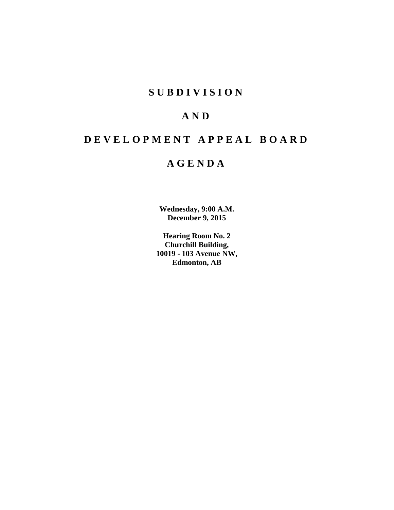# **SUBDIVISION**

# **AND**

# **DEVELOPMENT APPEAL BOARD**

# **AGENDA**

**Wednesday, 9:00 A.M. December 9, 2015**

**Hearing Room No. 2 Churchill Building, 10019 - 103 Avenue NW, Edmonton, AB**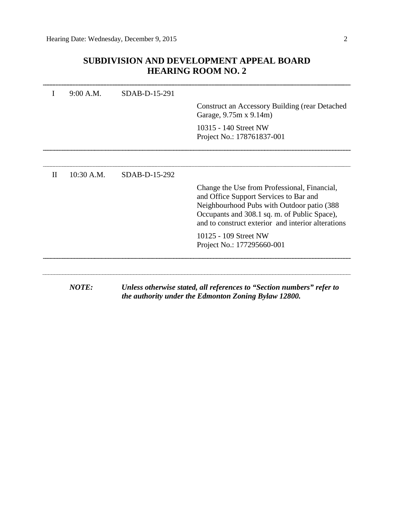## **SUBDIVISION AND DEVELOPMENT APPEAL BOARD HEARING ROOM NO. 2**

|              | 9:00 A.M.    | SDAB-D-15-291 |                                                                                                                                                                                                                                            |
|--------------|--------------|---------------|--------------------------------------------------------------------------------------------------------------------------------------------------------------------------------------------------------------------------------------------|
|              |              |               | Construct an Accessory Building (rear Detached<br>Garage, 9.75m x 9.14m)                                                                                                                                                                   |
|              |              |               | 10315 - 140 Street NW<br>Project No.: 178761837-001                                                                                                                                                                                        |
|              |              |               |                                                                                                                                                                                                                                            |
| $\mathbf{H}$ | $10:30$ A.M. | SDAB-D-15-292 |                                                                                                                                                                                                                                            |
|              |              |               | Change the Use from Professional, Financial,<br>and Office Support Services to Bar and<br>Neighbourhood Pubs with Outdoor patio (388<br>Occupants and 308.1 sq. m. of Public Space),<br>and to construct exterior and interior alterations |
|              |              |               | 10125 - 109 Street NW<br>Project No.: 177295660-001                                                                                                                                                                                        |
|              |              |               |                                                                                                                                                                                                                                            |
|              | <b>NOTE:</b> |               | Unless otherwise stated, all references to "Section numbers" refer to<br>the authority under the Edmonton Zoning Bylaw 12800.                                                                                                              |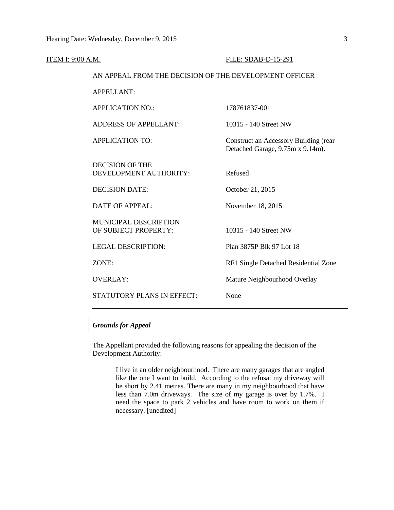| <b>ITEM I: 9:00 A.M.</b> |                                                        | FILE: SDAB-D-15-291                                                       |
|--------------------------|--------------------------------------------------------|---------------------------------------------------------------------------|
|                          | AN APPEAL FROM THE DECISION OF THE DEVELOPMENT OFFICER |                                                                           |
|                          | <b>APPELLANT:</b>                                      |                                                                           |
|                          | <b>APPLICATION NO.:</b>                                | 178761837-001                                                             |
|                          | <b>ADDRESS OF APPELLANT:</b>                           | 10315 - 140 Street NW                                                     |
|                          | <b>APPLICATION TO:</b>                                 | Construct an Accessory Building (rear<br>Detached Garage, 9.75m x 9.14m). |
|                          | <b>DECISION OF THE</b><br>DEVELOPMENT AUTHORITY:       | Refused                                                                   |
|                          | <b>DECISION DATE:</b>                                  | October 21, 2015                                                          |
|                          | DATE OF APPEAL:                                        | November 18, 2015                                                         |
|                          | <b>MUNICIPAL DESCRIPTION</b><br>OF SUBJECT PROPERTY:   | 10315 - 140 Street NW                                                     |
|                          | <b>LEGAL DESCRIPTION:</b>                              | Plan 3875P Blk 97 Lot 18                                                  |
|                          | ZONE:                                                  | RF1 Single Detached Residential Zone                                      |
|                          | <b>OVERLAY:</b>                                        | Mature Neighbourhood Overlay                                              |
|                          | STATUTORY PLANS IN EFFECT:                             | None                                                                      |
|                          |                                                        |                                                                           |

## *Grounds for Appeal*

The Appellant provided the following reasons for appealing the decision of the Development Authority:

> I live in an older neighbourhood. There are many garages that are angled like the one I want to build. According to the refusal my driveway will be short by 2.41 metres. There are many in my neighbourhood that have less than 7.0m driveways. The size of my garage is over by 1.7%. I need the space to park 2 vehicles and have room to work on them if necessary. [unedited]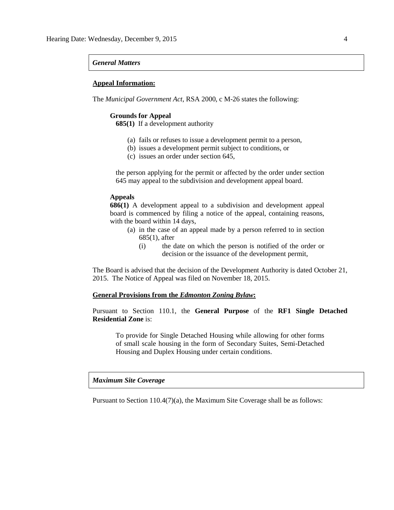#### *General Matters*

#### **Appeal Information:**

The *Municipal Government Act*, RSA 2000, c M-26 states the following:

#### **Grounds for Appeal**

**685(1)** If a development authority

- (a) fails or refuses to issue a development permit to a person,
- (b) issues a development permit subject to conditions, or
- (c) issues an order under section 645,

the person applying for the permit or affected by the order under section 645 may appeal to the subdivision and development appeal board.

### **Appeals**

**686(1)** A development appeal to a subdivision and development appeal board is commenced by filing a notice of the appeal, containing reasons, with the board within 14 days,

- (a) in the case of an appeal made by a person referred to in section 685(1), after
	- (i) the date on which the person is notified of the order or decision or the issuance of the development permit,

The Board is advised that the decision of the Development Authority is dated October 21, 2015. The Notice of Appeal was filed on November 18, 2015.

#### **General Provisions from the** *Edmonton Zoning Bylaw***:**

Pursuant to Section 110.1, the **General Purpose** of the **RF1 Single Detached Residential Zone** is:

To provide for Single Detached Housing while allowing for other forms of small scale housing in the form of Secondary Suites, Semi-Detached Housing and Duplex Housing under certain conditions.

### *Maximum Site Coverage*

Pursuant to Section 110.4(7)(a), the Maximum Site Coverage shall be as follows: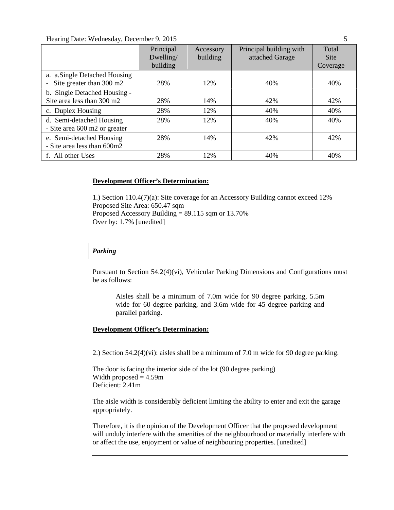## Hearing Date: Wednesday, December 9, 2015 5

|                                                            | Principal<br>Dwelling/<br>building | Accessory<br>building | Principal building with<br>attached Garage | Total<br><b>Site</b><br>Coverage |
|------------------------------------------------------------|------------------------------------|-----------------------|--------------------------------------------|----------------------------------|
| a. a.Single Detached Housing<br>Site greater than 300 m2   | 28%                                | 12%                   | 40%                                        | 40%                              |
| b. Single Detached Housing -<br>Site area less than 300 m2 | 28%                                | 14%                   | 42%                                        | 42%                              |
| c. Duplex Housing                                          | 28%                                | 12%                   | 40%                                        | 40%                              |
| d. Semi-detached Housing<br>- Site area 600 m2 or greater  | 28%                                | 12%                   | 40%                                        | 40%                              |
| e. Semi-detached Housing<br>- Site area less than 600m2    | 28%                                | 14%                   | 42%                                        | 42%                              |
| f. All other Uses                                          | 28%                                | 12%                   | 40%                                        | 40%                              |

## **Development Officer's Determination:**

1.) Section 110.4(7)(a): Site coverage for an Accessory Building cannot exceed 12% Proposed Site Area: 650.47 sqm Proposed Accessory Building = 89.115 sqm or 13.70% Over by: 1.7% [unedited]

## *Parking*

Pursuant to Section 54.2(4)(vi), Vehicular Parking Dimensions and Configurations must be as follows:

Aisles shall be a minimum of 7.0m wide for 90 degree parking, 5.5m wide for 60 degree parking, and 3.6m wide for 45 degree parking and parallel parking.

## **Development Officer's Determination:**

2.) Section 54.2(4)(vi): aisles shall be a minimum of 7.0 m wide for 90 degree parking.

The door is facing the interior side of the lot (90 degree parking) Width proposed  $= 4.59$ m Deficient: 2.41m

The aisle width is considerably deficient limiting the ability to enter and exit the garage appropriately.

Therefore, it is the opinion of the Development Officer that the proposed development will unduly interfere with the amenities of the neighbourhood or materially interfere with or affect the use, enjoyment or value of neighbouring properties. [unedited]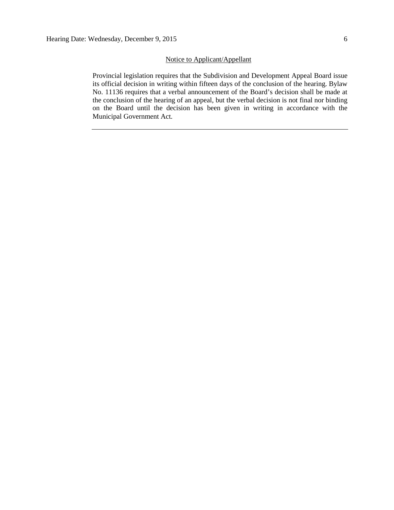### Notice to Applicant/Appellant

Provincial legislation requires that the Subdivision and Development Appeal Board issue its official decision in writing within fifteen days of the conclusion of the hearing. Bylaw No. 11136 requires that a verbal announcement of the Board's decision shall be made at the conclusion of the hearing of an appeal, but the verbal decision is not final nor binding on the Board until the decision has been given in writing in accordance with the Municipal Government Act.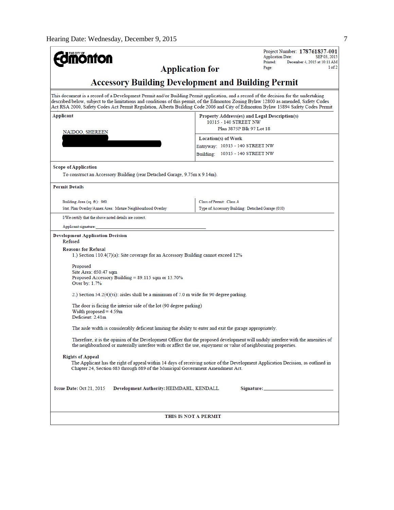| <b>onfon</b>                                                                                                                                                                                                                                                                                                                                                                                                          |                                                                                                    | Project Number: 178761837-001<br><b>Application Date:</b><br>SEP 03, 2015 |
|-----------------------------------------------------------------------------------------------------------------------------------------------------------------------------------------------------------------------------------------------------------------------------------------------------------------------------------------------------------------------------------------------------------------------|----------------------------------------------------------------------------------------------------|---------------------------------------------------------------------------|
| <b>Application for</b>                                                                                                                                                                                                                                                                                                                                                                                                |                                                                                                    | Printed:<br>December 4, 2015 at 10:11 AM<br>1 of 2<br>Page:               |
| <b>Accessory Building Development and Building Permit</b>                                                                                                                                                                                                                                                                                                                                                             |                                                                                                    |                                                                           |
| This document is a record of a Development Permit and/or Building Permit application, and a record of the decision for the undertaking<br>described below, subject to the limitations and conditions of this permit, of the Edmonton Zoning Bylaw 12800 as amended, Safety Codes<br>Act RSA 2000, Safety Codes Act Permit Regulation, Alberta Building Code 2006 and City of Edmonton Bylaw 15894 Safety Codes Permit |                                                                                                    |                                                                           |
| Applicant<br>NAIDOO, SHEREEN                                                                                                                                                                                                                                                                                                                                                                                          | Property Address(es) and Legal Description(s)<br>10315 - 140 STREET NW<br>Plan 3875P Blk 97 Lot 18 |                                                                           |
|                                                                                                                                                                                                                                                                                                                                                                                                                       | Location(s) of Work<br>Entryway: 10315 - 140 STREET NW<br>Building: 10315 - 140 STREET NW          |                                                                           |
| <b>Scope of Application</b><br>To construct an Accessory Building (rear Detached Garage, 9.75m x 9.14m).                                                                                                                                                                                                                                                                                                              |                                                                                                    |                                                                           |
| <b>Permit Details</b>                                                                                                                                                                                                                                                                                                                                                                                                 |                                                                                                    |                                                                           |
| Building Area (sq. ft.): 960<br>Stat. Plan Overlay/Annex Area: Mature Neighbourhood Overlay                                                                                                                                                                                                                                                                                                                           | Class of Permit: Class A<br>Type of Accessory Building: Detached Garage (010)                      |                                                                           |
| I/We certify that the above noted details are correct.                                                                                                                                                                                                                                                                                                                                                                |                                                                                                    |                                                                           |
| Applicant signature:                                                                                                                                                                                                                                                                                                                                                                                                  |                                                                                                    |                                                                           |
| <b>Development Application Decision</b><br>Refused<br><b>Reasons for Refusal</b><br>1.) Section $110.4(7)(a)$ : Site coverage for an Accessory Building cannot exceed 12%                                                                                                                                                                                                                                             |                                                                                                    |                                                                           |
| Proposed<br>Site Area: 650.47 sqm<br>Proposed Accessory Building = 89.115 sqm or 13.70%<br>Over by: 1.7%                                                                                                                                                                                                                                                                                                              |                                                                                                    |                                                                           |
| 2.) Section $54.2(4)(vi)$ : aisles shall be a minimum of 7.0 m wide for 90 degree parking.                                                                                                                                                                                                                                                                                                                            |                                                                                                    |                                                                           |
| The door is facing the interior side of the lot (90 degree parking)<br>Width proposed $=$ 4.59m<br>Deficient: 2.41m                                                                                                                                                                                                                                                                                                   |                                                                                                    |                                                                           |
| The aisle width is considerably deficient limiting the ability to enter and exit the garage appropriately.                                                                                                                                                                                                                                                                                                            |                                                                                                    |                                                                           |
| Therefore, it is the opinion of the Development Officer that the proposed development will unduly interfere with the amenities of<br>the neighbourhood or materially interfere with or affect the use, enjoyment or value of neighbouring properties.                                                                                                                                                                 |                                                                                                    |                                                                           |
| <b>Rights of Appeal</b><br>The Applicant has the right of appeal within 14 days of receiving notice of the Development Application Decision, as outlined in<br>Chapter 24, Section 683 through 689 of the Municipal Government Amendment Act.                                                                                                                                                                         |                                                                                                    |                                                                           |
| Issue Date: Oct 21, 2015<br>Development Authority: HEIMDAHL, KENDALL                                                                                                                                                                                                                                                                                                                                                  |                                                                                                    | Signature: _____________________                                          |
| THIS IS NOT A PERMIT                                                                                                                                                                                                                                                                                                                                                                                                  |                                                                                                    |                                                                           |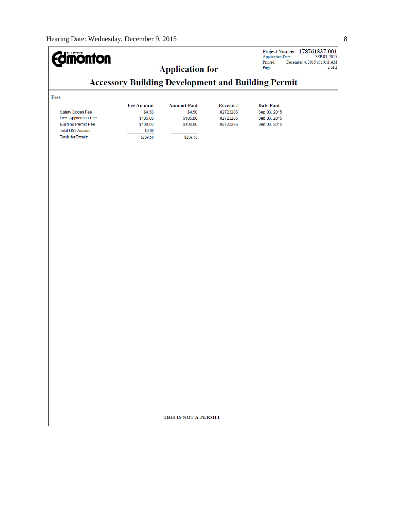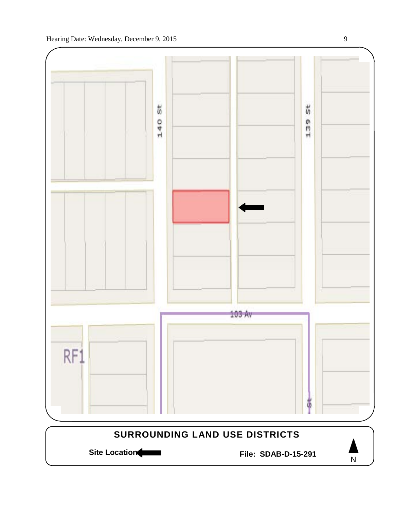



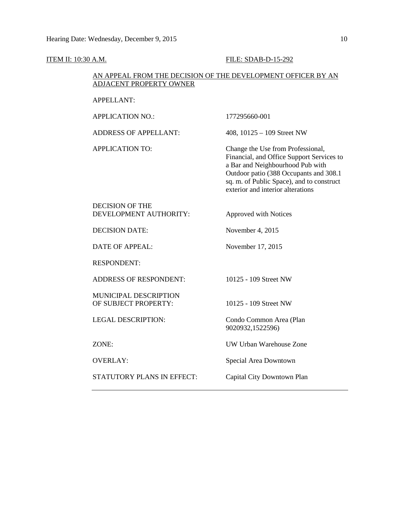| ITEM II: 10:30 A.M.                              | FILE: SDAB-D-15-292                                                                                                                                                                                                                            |  |
|--------------------------------------------------|------------------------------------------------------------------------------------------------------------------------------------------------------------------------------------------------------------------------------------------------|--|
| ADJACENT PROPERTY OWNER                          | AN APPEAL FROM THE DECISION OF THE DEVELOPMENT OFFICER BY AN                                                                                                                                                                                   |  |
| <b>APPELLANT:</b>                                |                                                                                                                                                                                                                                                |  |
| <b>APPLICATION NO.:</b>                          | 177295660-001                                                                                                                                                                                                                                  |  |
| <b>ADDRESS OF APPELLANT:</b>                     | 408, $10125 - 109$ Street NW                                                                                                                                                                                                                   |  |
| <b>APPLICATION TO:</b>                           | Change the Use from Professional,<br>Financial, and Office Support Services to<br>a Bar and Neighbourhood Pub with<br>Outdoor patio (388 Occupants and 308.1<br>sq. m. of Public Space), and to construct<br>exterior and interior alterations |  |
| <b>DECISION OF THE</b><br>DEVELOPMENT AUTHORITY: | Approved with Notices                                                                                                                                                                                                                          |  |
| <b>DECISION DATE:</b>                            | November 4, 2015                                                                                                                                                                                                                               |  |
| <b>DATE OF APPEAL:</b>                           | November 17, 2015                                                                                                                                                                                                                              |  |
| <b>RESPONDENT:</b>                               |                                                                                                                                                                                                                                                |  |
| <b>ADDRESS OF RESPONDENT:</b>                    | 10125 - 109 Street NW                                                                                                                                                                                                                          |  |
| MUNICIPAL DESCRIPTION<br>OF SUBJECT PROPERTY:    | 10125 - 109 Street NW                                                                                                                                                                                                                          |  |
| <b>LEGAL DESCRIPTION:</b>                        | Condo Common Area (Plan<br>9020932,1522596)                                                                                                                                                                                                    |  |
| ZONE:                                            | UW Urban Warehouse Zone                                                                                                                                                                                                                        |  |
| <b>OVERLAY:</b>                                  | Special Area Downtown                                                                                                                                                                                                                          |  |
| STATUTORY PLANS IN EFFECT:                       | Capital City Downtown Plan                                                                                                                                                                                                                     |  |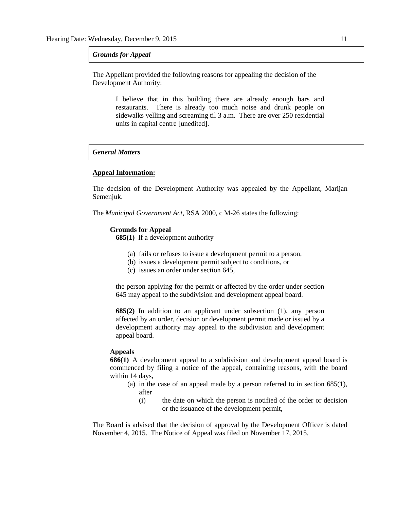#### *Grounds for Appeal*

The Appellant provided the following reasons for appealing the decision of the Development Authority:

> I believe that in this building there are already enough bars and restaurants. There is already too much noise and drunk people on sidewalks yelling and screaming til 3 a.m. There are over 250 residential units in capital centre [unedited].

## *General Matters*

#### **Appeal Information:**

The decision of the Development Authority was appealed by the Appellant, Marijan Semenjuk.

The *Municipal Government Act*, RSA 2000, c M-26 states the following:

#### **Grounds for Appeal**

**685(1)** If a development authority

- (a) fails or refuses to issue a development permit to a person,
- (b) issues a development permit subject to conditions, or
- (c) issues an order under section 645,

the person applying for the permit or affected by the order under section 645 may appeal to the subdivision and development appeal board.

**685(2)** In addition to an applicant under subsection (1), any person affected by an order, decision or development permit made or issued by a development authority may appeal to the subdivision and development appeal board.

#### **Appeals**

**686(1)** A development appeal to a subdivision and development appeal board is commenced by filing a notice of the appeal, containing reasons, with the board within 14 days,

- (a) in the case of an appeal made by a person referred to in section 685(1), after
	- (i) the date on which the person is notified of the order or decision or the issuance of the development permit,

The Board is advised that the decision of approval by the Development Officer is dated November 4, 2015. The Notice of Appeal was filed on November 17, 2015.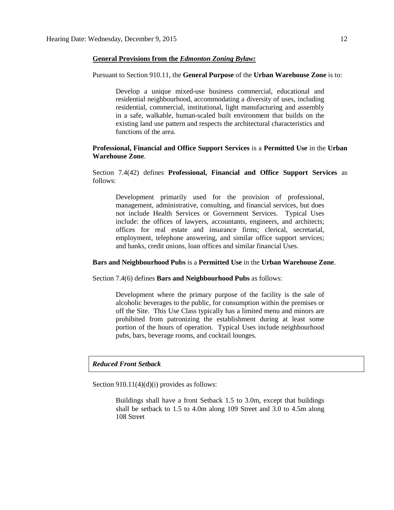### **General Provisions from the** *Edmonton Zoning Bylaw:*

#### Pursuant to Section 910.11, the **General Purpose** of the **Urban Warehouse Zone** is to:

Develop a unique mixed-use business commercial, educational and residential neighbourhood, accommodating a diversity of uses, including residential, commercial, institutional, light manufacturing and assembly in a safe, walkable, human-scaled built environment that builds on the existing land use pattern and respects the architectural characteristics and functions of the area.

## **Professional, Financial and Office Support Services** is a **Permitted Use** in the **Urban Warehouse Zone**.

Section 7.4(42) defines **Professional, Financial and Office Support Services** as follows:

Development primarily used for the provision of professional, management, administrative, consulting, and financial services, but does not include Health Services or Government Services. Typical Uses include: the offices of lawyers, accountants, engineers, and architects; offices for real estate and insurance firms; clerical, secretarial, employment, telephone answering, and similar office support services; and banks, credit unions, loan offices and similar financial Uses.

## **Bars and Neighbourhood Pubs** is a **Permitted Use** in the **Urban Warehouse Zone**.

Section 7.4(6) defines **Bars and Neighbourhood Pubs** as follows:

Development where the primary purpose of the facility is the sale of alcoholic beverages to the public, for consumption within the premises or off the Site. This Use Class typically has a limited menu and minors are prohibited from patronizing the establishment during at least some portion of the hours of operation. Typical Uses include neighbourhood pubs, bars, beverage rooms, and cocktail lounges.

## *Reduced Front Setback*

Section 910.11(4)(d)(i) provides as follows:

Buildings shall have a front Setback 1.5 to 3.0m, except that buildings shall be setback to 1.5 to 4.0m along 109 Street and 3.0 to 4.5m along 108 Street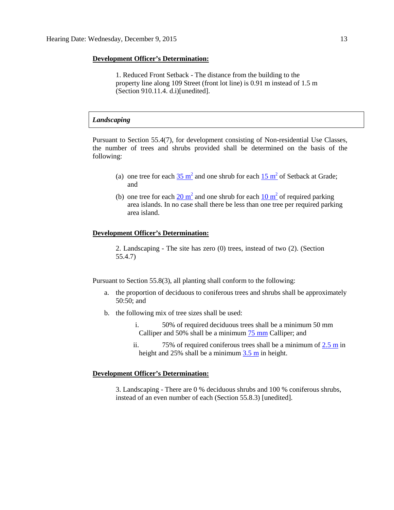#### **Development Officer's Determination:**

1. Reduced Front Setback - The distance from the building to the property line along 109 Street (front lot line) is 0.91 m instead of 1.5 m (Section 910.11.4. d.i)[unedited].

### *Landscaping*

Pursuant to Section 55.4(7), for development consisting of Non-residential Use Classes, the number of trees and shrubs provided shall be determined on the basis of the following:

- (a) one tree for each  $35 \text{ m}^2$  and one shrub for each  $15 \text{ m}^2$  of Setback at Grade; and
- (b) one tree for each  $20 \text{ m}^2$  and one shrub for each  $10 \text{ m}^2$  of required parking area islands. In no case shall there be less than one tree per required parking area island.

## **Development Officer's Determination:**

2. Landscaping - The site has zero (0) trees, instead of two (2). (Section 55.4.7)

Pursuant to Section 55.8(3), all planting shall conform to the following:

- a. the proportion of deciduous to coniferous trees and shrubs shall be approximately 50:50; and
- b. the following mix of tree sizes shall be used:
	- i. 50% of required deciduous trees shall be a minimum 50 mm Calliper and 50% shall be a minimum 75 [mm](javascript:void(0);) Calliper; and
	- ii. 75% of required coniferous trees shall be a minimum of  $2.5$  m in height and 25% shall be a minimum [3.5](javascript:void(0);) m in height.

#### **Development Officer's Determination:**

3. Landscaping - There are 0 % deciduous shrubs and 100 % coniferous shrubs, instead of an even number of each (Section 55.8.3) [unedited].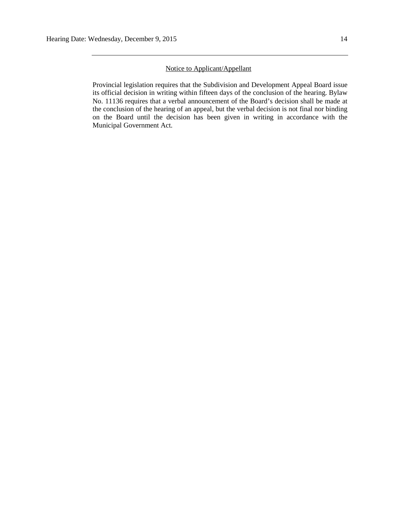## Notice to Applicant/Appellant

Provincial legislation requires that the Subdivision and Development Appeal Board issue its official decision in writing within fifteen days of the conclusion of the hearing. Bylaw No. 11136 requires that a verbal announcement of the Board's decision shall be made at the conclusion of the hearing of an appeal, but the verbal decision is not final nor binding on the Board until the decision has been given in writing in accordance with the Municipal Government Act.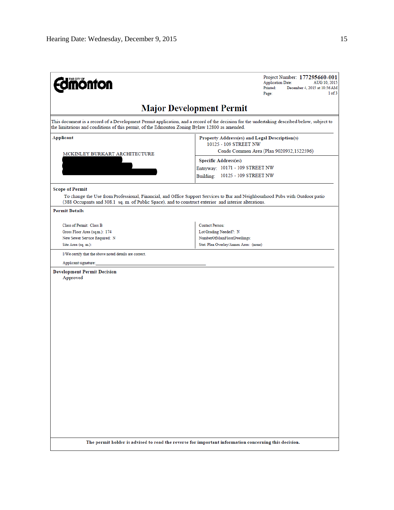| <b>mónton</b>                                                                                                                                                                                                                                | Project Number: 177295660-001<br><b>Application Date:</b><br>AUG 10, 2015<br>Printed:<br>December 4, 2015 at 10:56 AM<br>1 of 3<br>Page:      |
|----------------------------------------------------------------------------------------------------------------------------------------------------------------------------------------------------------------------------------------------|-----------------------------------------------------------------------------------------------------------------------------------------------|
|                                                                                                                                                                                                                                              | <b>Major Development Permit</b>                                                                                                               |
| This document is a record of a Development Permit application, and a record of the decision for the undertaking described below, subject to<br>the limitations and conditions of this permit, of the Edmonton Zoning Bylaw 12800 as amended. |                                                                                                                                               |
| Applicant                                                                                                                                                                                                                                    | Property Address(es) and Legal Description(s)<br>10125 - 109 STREET NW                                                                        |
| MCKINLEY BURKART ARCHITECTURE                                                                                                                                                                                                                | Condo Common Area (Plan 9020932,1522596)<br><b>Specific Address(es)</b><br>Entryway: 10171 - 109 STREET NW<br>Building: 10125 - 109 STREET NW |
| <b>Scope of Permit</b><br>(388 Occupants and 308.1 sq. m. of Public Space), and to construct exterior and interior alterations.                                                                                                              | To change the Use from Professional, Financial, and Office Support Services to Bar and Neighbourhood Pubs with Outdoor patio                  |
| <b>Permit Details</b>                                                                                                                                                                                                                        |                                                                                                                                               |
| Class of Permit: Class B<br>Gross Floor Area (sq.m.): 174<br>New Sewer Service Required: N<br>Site Area (sq. m.):                                                                                                                            | <b>Contact Person:</b><br>Lot Grading Needed?: N<br>NumberOfMainFloorDwellings:<br>Stat. Plan Overlay/Annex Area: (none)                      |
| I/We certify that the above noted details are correct.<br>Applicant signature:                                                                                                                                                               |                                                                                                                                               |
| <b>Development Permit Decision</b><br>Approved                                                                                                                                                                                               |                                                                                                                                               |
| The permit holder is advised to read the reverse for important information concerning this decision.                                                                                                                                         |                                                                                                                                               |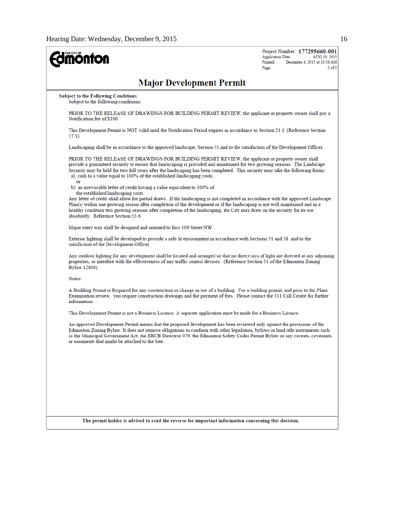| <b>Imónton</b>                                                                                                                                                                                                                                                                                                                                                                                                                                           | Project Number: 177295660-001<br><b>Application Date:</b><br>AUG 10, 2015<br>Printed:<br>December 4, 2015 at 10:56 AM<br>$2$ of $3$<br>Page: |
|----------------------------------------------------------------------------------------------------------------------------------------------------------------------------------------------------------------------------------------------------------------------------------------------------------------------------------------------------------------------------------------------------------------------------------------------------------|----------------------------------------------------------------------------------------------------------------------------------------------|
| <b>Major Development Permit</b>                                                                                                                                                                                                                                                                                                                                                                                                                          |                                                                                                                                              |
| <b>Subject to the Following Conditions</b><br>Subject to the following conditions:                                                                                                                                                                                                                                                                                                                                                                       |                                                                                                                                              |
| PRIOR TO THE RELEASE OF DRAWINGS FOR BUILDING PERMIT REVIEW, the applicant or property owner shall pay a<br>Notification fee of \$100.                                                                                                                                                                                                                                                                                                                   |                                                                                                                                              |
| This Development Permit is NOT valid until the Notification Period expires in accordance to Section 21.1. (Reference Section<br>17.1)                                                                                                                                                                                                                                                                                                                    |                                                                                                                                              |
| Landscaping shall be in accordance to the approved landscape, Section 55 and to the satisfaction of the Development Officer.                                                                                                                                                                                                                                                                                                                             |                                                                                                                                              |
| PRIOR TO THE RELEASE OF DRAWINGS FOR BUILDING PERMIT REVIEW, the applicant or property owner shall<br>provide a guaranteed security to ensure that landscaping is provided and maintained for two growing seasons. The Landscape<br>Security may be held for two full years after the landscaping has been completed. This security may take the following forms:<br>a) cash to a value equal to 100% of the established landscaping costs;<br><b>Of</b> |                                                                                                                                              |
| b) an irrevocable letter of credit having a value equivalent to 100% of<br>the established landscaping costs.<br>Any letter of credit shall allow for partial draws. If the landscaping is not completed in accordance with the approved Landscape<br>Plan(s) within one growing season after completion of the development or if the landscaping is not well maintained and in a                                                                        |                                                                                                                                              |
| healthy condition two growing seasons after completion of the landscaping, the City may draw on the security for its use<br>absolutely. Reference Section 55.6                                                                                                                                                                                                                                                                                           |                                                                                                                                              |
| Major entry way shall be designed and oriented to face 109 Street NW.                                                                                                                                                                                                                                                                                                                                                                                    |                                                                                                                                              |
| Exterior lighting shall be developed to provide a safe lit environment in accordance with Sections 51 and 58 and to the<br>satisfaction of the Development Officer.                                                                                                                                                                                                                                                                                      |                                                                                                                                              |
| Any outdoor lighting for any development shall be located and arranged so that no direct rays of light are directed at any adjoining<br>properties, or interfere with the effectiveness of any traffic control devices. (Reference Section 51 of the Edmonton Zoning<br>Bylaw 12800).                                                                                                                                                                    |                                                                                                                                              |
| Notes:                                                                                                                                                                                                                                                                                                                                                                                                                                                   |                                                                                                                                              |
| A Building Permit is Required for any construction or change in use of a building. For a building permit, and prior to the Plans<br>Examination review, you require construction drawings and the payment of fees. Please contact the 311 Call Centre for further<br>information.                                                                                                                                                                        |                                                                                                                                              |
| This Development Permit is not a Business Licence. A separate application must be made for a Business Licence.                                                                                                                                                                                                                                                                                                                                           |                                                                                                                                              |
| An approved Development Permit means that the proposed development has been reviewed only against the provisions of the<br>Edmonton Zoning Bylaw. It does not remove obligations to conform with other legislation, bylaws or land title instruments such<br>as the Municipal Government Act, the ERCB Directive 079, the Edmonton Safety Codes Permit Bylaw or any caveats, covenants<br>or easements that might be attached to the Site.               |                                                                                                                                              |
|                                                                                                                                                                                                                                                                                                                                                                                                                                                          |                                                                                                                                              |
|                                                                                                                                                                                                                                                                                                                                                                                                                                                          |                                                                                                                                              |
|                                                                                                                                                                                                                                                                                                                                                                                                                                                          |                                                                                                                                              |
|                                                                                                                                                                                                                                                                                                                                                                                                                                                          |                                                                                                                                              |
|                                                                                                                                                                                                                                                                                                                                                                                                                                                          |                                                                                                                                              |
| The permit holder is advised to read the reverse for important information concerning this decision.                                                                                                                                                                                                                                                                                                                                                     |                                                                                                                                              |
|                                                                                                                                                                                                                                                                                                                                                                                                                                                          |                                                                                                                                              |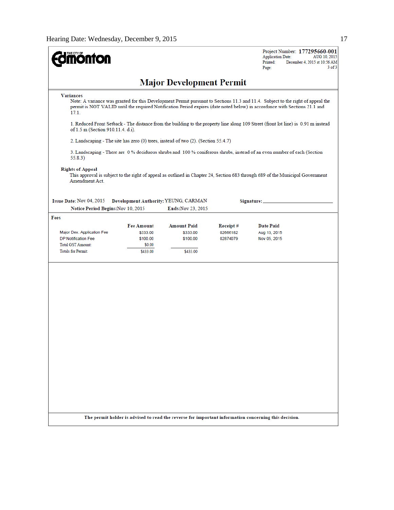| <b>Major Development Permit</b><br><b>Variances</b><br>Note: A variance was granted for this Development Permit pursuant to Sections 11.3 and 11.4. Subject to the right of appeal the<br>permit is NOT VALID until the required Notification Period expires (date noted below) in accordance with Sections 21.1 and<br>17.1.<br>1. Reduced Front Setback - The distance from the building to the property line along 109 Street (front lot line) is 0.91 m instead<br>of 1.5 m (Section 910.11.4. d.i).<br>2. Landscaping - The site has zero (0) trees, instead of two (2). (Section 55.4.7)<br>3. Landscaping - There are 0% deciduous shrubs and 100% coniferous shrubs, instead of an even number of each (Section<br>55.8.3)<br><b>Rights of Appeal</b><br>This approval is subject to the right of appeal as outlined in Chapter 24, Section 683 through 689 of the Municipal Government<br>Amendment Act.<br>Development Authority: YEUNG, CARMAN<br>Signature:<br>Notice Period Begins: Nov 10, 2015<br>Ends: Nov 23, 2015<br><b>Fee Amount</b><br><b>Amount Paid</b><br>Receipt#<br><b>Date Paid</b><br>Major Dev. Application Fee<br>\$333.00<br>02666182<br>Aug 13, 2015<br>\$333.00<br><b>DP Notification Fee</b><br>\$100.00<br>\$100.00<br>02874079<br>Nov 05, 2015<br><b>Total GST Amount:</b><br>\$0.00<br><b>Totals for Permit:</b><br>\$433.00<br>\$433.00<br>The permit holder is advised to read the reverse for important information concerning this decision. | THE CITY OF<br><b>pnfon</b> |  | Project Number: 177295660-001<br><b>Application Date:</b><br>AUG 10, 2015<br>Printed:<br>December 4, 2015 at 10:56 AM<br>$3$ of $3$<br>Page: |
|---------------------------------------------------------------------------------------------------------------------------------------------------------------------------------------------------------------------------------------------------------------------------------------------------------------------------------------------------------------------------------------------------------------------------------------------------------------------------------------------------------------------------------------------------------------------------------------------------------------------------------------------------------------------------------------------------------------------------------------------------------------------------------------------------------------------------------------------------------------------------------------------------------------------------------------------------------------------------------------------------------------------------------------------------------------------------------------------------------------------------------------------------------------------------------------------------------------------------------------------------------------------------------------------------------------------------------------------------------------------------------------------------------------------------------------------------------------------------------------|-----------------------------|--|----------------------------------------------------------------------------------------------------------------------------------------------|
|                                                                                                                                                                                                                                                                                                                                                                                                                                                                                                                                                                                                                                                                                                                                                                                                                                                                                                                                                                                                                                                                                                                                                                                                                                                                                                                                                                                                                                                                                       |                             |  |                                                                                                                                              |
|                                                                                                                                                                                                                                                                                                                                                                                                                                                                                                                                                                                                                                                                                                                                                                                                                                                                                                                                                                                                                                                                                                                                                                                                                                                                                                                                                                                                                                                                                       |                             |  |                                                                                                                                              |
|                                                                                                                                                                                                                                                                                                                                                                                                                                                                                                                                                                                                                                                                                                                                                                                                                                                                                                                                                                                                                                                                                                                                                                                                                                                                                                                                                                                                                                                                                       |                             |  |                                                                                                                                              |
|                                                                                                                                                                                                                                                                                                                                                                                                                                                                                                                                                                                                                                                                                                                                                                                                                                                                                                                                                                                                                                                                                                                                                                                                                                                                                                                                                                                                                                                                                       |                             |  |                                                                                                                                              |
|                                                                                                                                                                                                                                                                                                                                                                                                                                                                                                                                                                                                                                                                                                                                                                                                                                                                                                                                                                                                                                                                                                                                                                                                                                                                                                                                                                                                                                                                                       |                             |  |                                                                                                                                              |
|                                                                                                                                                                                                                                                                                                                                                                                                                                                                                                                                                                                                                                                                                                                                                                                                                                                                                                                                                                                                                                                                                                                                                                                                                                                                                                                                                                                                                                                                                       |                             |  |                                                                                                                                              |
|                                                                                                                                                                                                                                                                                                                                                                                                                                                                                                                                                                                                                                                                                                                                                                                                                                                                                                                                                                                                                                                                                                                                                                                                                                                                                                                                                                                                                                                                                       | Issue Date: Nov 04, 2015    |  |                                                                                                                                              |
|                                                                                                                                                                                                                                                                                                                                                                                                                                                                                                                                                                                                                                                                                                                                                                                                                                                                                                                                                                                                                                                                                                                                                                                                                                                                                                                                                                                                                                                                                       | Fees                        |  |                                                                                                                                              |
|                                                                                                                                                                                                                                                                                                                                                                                                                                                                                                                                                                                                                                                                                                                                                                                                                                                                                                                                                                                                                                                                                                                                                                                                                                                                                                                                                                                                                                                                                       |                             |  |                                                                                                                                              |
|                                                                                                                                                                                                                                                                                                                                                                                                                                                                                                                                                                                                                                                                                                                                                                                                                                                                                                                                                                                                                                                                                                                                                                                                                                                                                                                                                                                                                                                                                       |                             |  |                                                                                                                                              |
|                                                                                                                                                                                                                                                                                                                                                                                                                                                                                                                                                                                                                                                                                                                                                                                                                                                                                                                                                                                                                                                                                                                                                                                                                                                                                                                                                                                                                                                                                       |                             |  |                                                                                                                                              |
|                                                                                                                                                                                                                                                                                                                                                                                                                                                                                                                                                                                                                                                                                                                                                                                                                                                                                                                                                                                                                                                                                                                                                                                                                                                                                                                                                                                                                                                                                       |                             |  |                                                                                                                                              |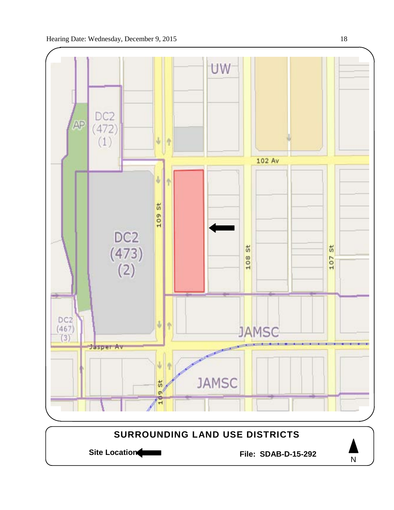

Site Location **File: SDAB-D-15-292** 

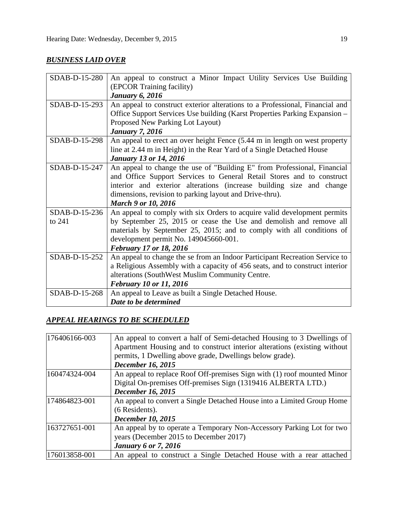## *BUSINESS LAID OVER*

| SDAB-D-15-280 | An appeal to construct a Minor Impact Utility Services Use Building          |
|---------------|------------------------------------------------------------------------------|
|               | (EPCOR Training facility)                                                    |
|               | <b>January 6, 2016</b>                                                       |
| SDAB-D-15-293 | An appeal to construct exterior alterations to a Professional, Financial and |
|               | Office Support Services Use building (Karst Properties Parking Expansion -   |
|               | Proposed New Parking Lot Layout)                                             |
|               | <b>January 7, 2016</b>                                                       |
| SDAB-D-15-298 | An appeal to erect an over height Fence (5.44 m in length on west property   |
|               | line at 2.44 m in Height) in the Rear Yard of a Single Detached House        |
|               | <b>January 13 or 14, 2016</b>                                                |
| SDAB-D-15-247 | An appeal to change the use of "Building E" from Professional, Financial     |
|               | and Office Support Services to General Retail Stores and to construct        |
|               | interior and exterior alterations (increase building size and change         |
|               | dimensions, revision to parking layout and Drive-thru).                      |
|               | <b>March 9 or 10, 2016</b>                                                   |
| SDAB-D-15-236 | An appeal to comply with six Orders to acquire valid development permits     |
| to 241        | by September 25, 2015 or cease the Use and demolish and remove all           |
|               | materials by September 25, 2015; and to comply with all conditions of        |
|               | development permit No. 149045660-001.                                        |
|               | <b>February 17 or 18, 2016</b>                                               |
| SDAB-D-15-252 | An appeal to change the se from an Indoor Participant Recreation Service to  |
|               | a Religious Assembly with a capacity of 456 seats, and to construct interior |
|               | alterations (SouthWest Muslim Community Centre.                              |
|               | February 10 or 11, 2016                                                      |
| SDAB-D-15-268 | An appeal to Leave as built a Single Detached House.                         |
|               | Date to be determined                                                        |

## *APPEAL HEARINGS TO BE SCHEDULED*

| 176406166-003 | An appeal to convert a half of Semi-detached Housing to 3 Dwellings of    |  |  |
|---------------|---------------------------------------------------------------------------|--|--|
|               | Apartment Housing and to construct interior alterations (existing without |  |  |
|               | permits, 1 Dwelling above grade, Dwellings below grade).                  |  |  |
|               | <b>December 16, 2015</b>                                                  |  |  |
| 160474324-004 | An appeal to replace Roof Off-premises Sign with (1) roof mounted Minor   |  |  |
|               | Digital On-premises Off-premises Sign (1319416 ALBERTA LTD.)              |  |  |
|               | <b>December 16, 2015</b>                                                  |  |  |
| 174864823-001 | An appeal to convert a Single Detached House into a Limited Group Home    |  |  |
|               | (6 Residents).                                                            |  |  |
|               | <b>December 10, 2015</b>                                                  |  |  |
| 163727651-001 | An appeal by to operate a Temporary Non-Accessory Parking Lot for two     |  |  |
|               | years (December 2015 to December 2017)                                    |  |  |
|               | <b>January 6 or 7, 2016</b>                                               |  |  |
| 176013858-001 | An appeal to construct a Single Detached House with a rear attached       |  |  |